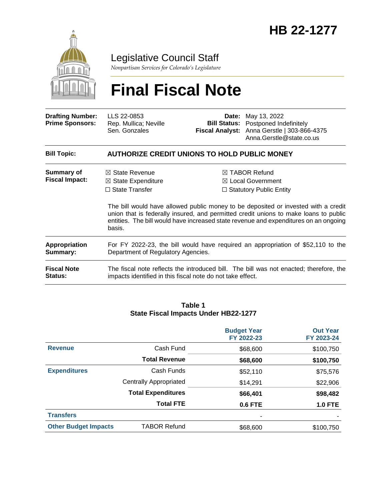

Legislative Council Staff

*Nonpartisan Services for Colorado's Legislature*

# **Final Fiscal Note**

| <b>Drafting Number:</b><br><b>Prime Sponsors:</b> | LLS 22-0853<br>Rep. Mullica; Neville<br>Sen. Gonzales                                                                                                                                                                                                                        |                                | <b>Date:</b> May 13, 2022<br><b>Bill Status:</b> Postponed Indefinitely<br>Fiscal Analyst: Anna Gerstle   303-866-4375<br>Anna.Gerstle@state.co.us |  |  |
|---------------------------------------------------|------------------------------------------------------------------------------------------------------------------------------------------------------------------------------------------------------------------------------------------------------------------------------|--------------------------------|----------------------------------------------------------------------------------------------------------------------------------------------------|--|--|
| <b>Bill Topic:</b>                                | <b>AUTHORIZE CREDIT UNIONS TO HOLD PUBLIC MONEY</b>                                                                                                                                                                                                                          |                                |                                                                                                                                                    |  |  |
| Summary of<br><b>Fiscal Impact:</b>               | $\boxtimes$ State Revenue<br>$\boxtimes$ State Expenditure                                                                                                                                                                                                                   |                                | $\boxtimes$ TABOR Refund<br>$\boxtimes$ Local Government                                                                                           |  |  |
|                                                   | $\Box$ State Transfer                                                                                                                                                                                                                                                        | $\Box$ Statutory Public Entity |                                                                                                                                                    |  |  |
|                                                   | The bill would have allowed public money to be deposited or invested with a credit<br>union that is federally insured, and permitted credit unions to make loans to public<br>entities. The bill would have increased state revenue and expenditures on an ongoing<br>basis. |                                |                                                                                                                                                    |  |  |
| <b>Appropriation</b><br>Summary:                  | For FY 2022-23, the bill would have required an appropriation of \$52,110 to the<br>Department of Regulatory Agencies.                                                                                                                                                       |                                |                                                                                                                                                    |  |  |
| <b>Fiscal Note</b><br><b>Status:</b>              | The fiscal note reflects the introduced bill. The bill was not enacted; therefore, the<br>impacts identified in this fiscal note do not take effect.                                                                                                                         |                                |                                                                                                                                                    |  |  |

#### **Table 1 State Fiscal Impacts Under HB22-1277**

|                             |                               | <b>Budget Year</b><br>FY 2022-23 | <b>Out Year</b><br>FY 2023-24 |
|-----------------------------|-------------------------------|----------------------------------|-------------------------------|
| <b>Revenue</b>              | Cash Fund                     | \$68,600                         | \$100,750                     |
|                             | <b>Total Revenue</b>          | \$68,600                         | \$100,750                     |
| <b>Expenditures</b>         | Cash Funds                    | \$52,110                         | \$75,576                      |
|                             | <b>Centrally Appropriated</b> | \$14,291                         | \$22,906                      |
|                             | <b>Total Expenditures</b>     | \$66,401                         | \$98,482                      |
|                             | <b>Total FTE</b>              | 0.6 FTE                          | <b>1.0 FTE</b>                |
| <b>Transfers</b>            |                               | -                                |                               |
| <b>Other Budget Impacts</b> | <b>TABOR Refund</b>           | \$68,600                         | \$100,750                     |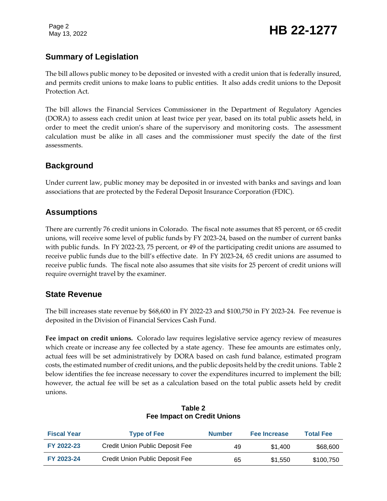Page 2

# Page 2<br>May 13, 2022 **HB 22-1277**

# **Summary of Legislation**

The bill allows public money to be deposited or invested with a credit union that is federally insured, and permits credit unions to make loans to public entities. It also adds credit unions to the Deposit Protection Act.

The bill allows the Financial Services Commissioner in the Department of Regulatory Agencies (DORA) to assess each credit union at least twice per year, based on its total public assets held, in order to meet the credit union's share of the supervisory and monitoring costs. The assessment calculation must be alike in all cases and the commissioner must specify the date of the first assessments.

# **Background**

Under current law, public money may be deposited in or invested with banks and savings and loan associations that are protected by the Federal Deposit Insurance Corporation (FDIC).

# **Assumptions**

There are currently 76 credit unions in Colorado. The fiscal note assumes that 85 percent, or 65 credit unions, will receive some level of public funds by FY 2023-24, based on the number of current banks with public funds. In FY 2022-23, 75 percent, or 49 of the participating credit unions are assumed to receive public funds due to the bill's effective date. In FY 2023-24, 65 credit unions are assumed to receive public funds. The fiscal note also assumes that site visits for 25 percent of credit unions will require overnight travel by the examiner.

# **State Revenue**

The bill increases state revenue by \$68,600 in FY 2022-23 and \$100,750 in FY 2023-24. Fee revenue is deposited in the Division of Financial Services Cash Fund.

**Fee impact on credit unions.** Colorado law requires legislative service agency review of measures which create or increase any fee collected by a state agency. These fee amounts are estimates only, actual fees will be set administratively by DORA based on cash fund balance, estimated program costs, the estimated number of credit unions, and the public deposits held by the credit unions. Table 2 below identifies the fee increase necessary to cover the expenditures incurred to implement the bill; however, the actual fee will be set as a calculation based on the total public assets held by credit unions.

| <b>Fiscal Year</b> | <b>Type of Fee</b>              | <b>Number</b> | <b>Fee Increase</b> | <b>Total Fee</b> |
|--------------------|---------------------------------|---------------|---------------------|------------------|
| FY 2022-23         | Credit Union Public Deposit Fee | 49            | \$1.400             | \$68,600         |
| FY 2023-24         | Credit Union Public Deposit Fee | 65            | \$1.550             | \$100,750        |

#### **Table 2 Fee Impact on Credit Unions**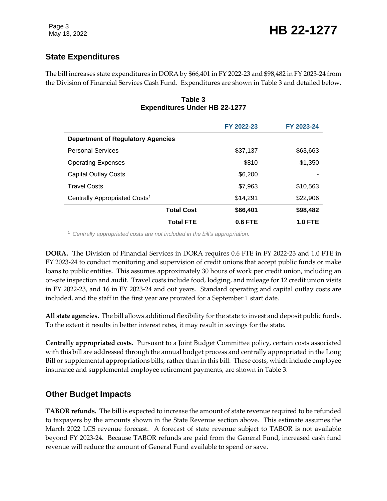# **State Expenditures**

The bill increases state expenditures in DORA by \$66,401 in FY 2022-23 and \$98,482 in FY 2023-24 from the Division of Financial Services Cash Fund. Expenditures are shown in Table 3 and detailed below.

#### **Table 3 Expenditures Under HB 22-1277**

|                                           | FY 2022-23     | FY 2023-24     |
|-------------------------------------------|----------------|----------------|
| <b>Department of Regulatory Agencies</b>  |                |                |
| <b>Personal Services</b>                  | \$37,137       | \$63,663       |
| <b>Operating Expenses</b>                 | \$810          | \$1,350        |
| <b>Capital Outlay Costs</b>               | \$6,200        |                |
| <b>Travel Costs</b>                       | \$7,963        | \$10,563       |
| Centrally Appropriated Costs <sup>1</sup> | \$14,291       | \$22,906       |
| <b>Total Cost</b>                         | \$66,401       | \$98,482       |
| <b>Total FTE</b>                          | <b>0.6 FTE</b> | <b>1.0 FTE</b> |

<sup>1</sup> *Centrally appropriated costs are not included in the bill's appropriation.*

**DORA.** The Division of Financial Services in DORA requires 0.6 FTE in FY 2022-23 and 1.0 FTE in FY 2023-24 to conduct monitoring and supervision of credit unions that accept public funds or make loans to public entities. This assumes approximately 30 hours of work per credit union, including an on-site inspection and audit. Travel costs include food, lodging, and mileage for 12 credit union visits in FY 2022-23, and 16 in FY 2023-24 and out years. Standard operating and capital outlay costs are included, and the staff in the first year are prorated for a September 1 start date.

**All state agencies.** The bill allows additional flexibility for the state to invest and deposit public funds. To the extent it results in better interest rates, it may result in savings for the state.

**Centrally appropriated costs.** Pursuant to a Joint Budget Committee policy, certain costs associated with this bill are addressed through the annual budget process and centrally appropriated in the Long Bill or supplemental appropriations bills, rather than in this bill. These costs, which include employee insurance and supplemental employee retirement payments, are shown in Table 3.

# **Other Budget Impacts**

**TABOR refunds.** The bill is expected to increase the amount of state revenue required to be refunded to taxpayers by the amounts shown in the State Revenue section above. This estimate assumes the March 2022 LCS revenue forecast. A forecast of state revenue subject to TABOR is not available beyond FY 2023-24. Because TABOR refunds are paid from the General Fund, increased cash fund revenue will reduce the amount of General Fund available to spend or save.